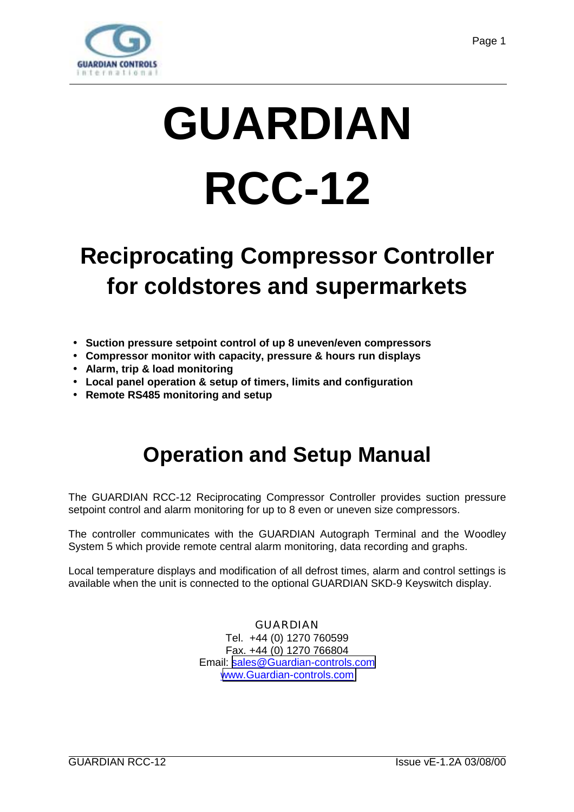

# **GUARDIAN RCC-12**

# **Reciprocating Compressor Controller for coldstores and supermarkets**

- **Suction pressure setpoint control of up 8 uneven/even compressors**
- **Compressor monitor with capacity, pressure & hours run displays**
- **Alarm, trip & load monitoring**
- **Local panel operation & setup of timers, limits and configuration**
- **Remote RS485 monitoring and setup**

# **Operation and Setup Manual**

The GUARDIAN RCC-12 Reciprocating Compressor Controller provides suction pressure setpoint control and alarm monitoring for up to 8 even or uneven size compressors.

The controller communicates with the GUARDIAN Autograph Terminal and the Woodley System 5 which provide remote central alarm monitoring, data recording and graphs.

Local temperature displays and modification of all defrost times, alarm and control settings is available when the unit is connected to the optional GUARDIAN SKD-9 Keyswitch display.

> GUARDIAN Tel. +44 (0) 1270 760599 Fax. +44 (0) 1270 766804 Email: [sales@Guardian-controls.com](mailto:sales@microm-electronics.com) [www.Guardian-controls.com](http://www.microm-electronics.com/)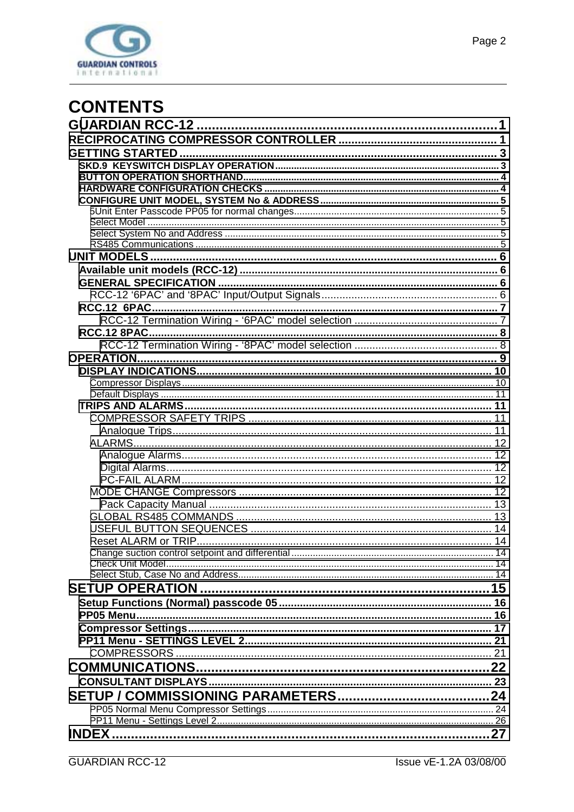

| <b>OPERATION.</b> |  |
|-------------------|--|
|                   |  |
|                   |  |
|                   |  |
|                   |  |
|                   |  |
|                   |  |
|                   |  |
|                   |  |
|                   |  |
|                   |  |
|                   |  |
|                   |  |
|                   |  |
|                   |  |
|                   |  |
|                   |  |
|                   |  |
|                   |  |
|                   |  |
|                   |  |
|                   |  |
|                   |  |
|                   |  |
|                   |  |
|                   |  |
|                   |  |
|                   |  |
|                   |  |
|                   |  |
|                   |  |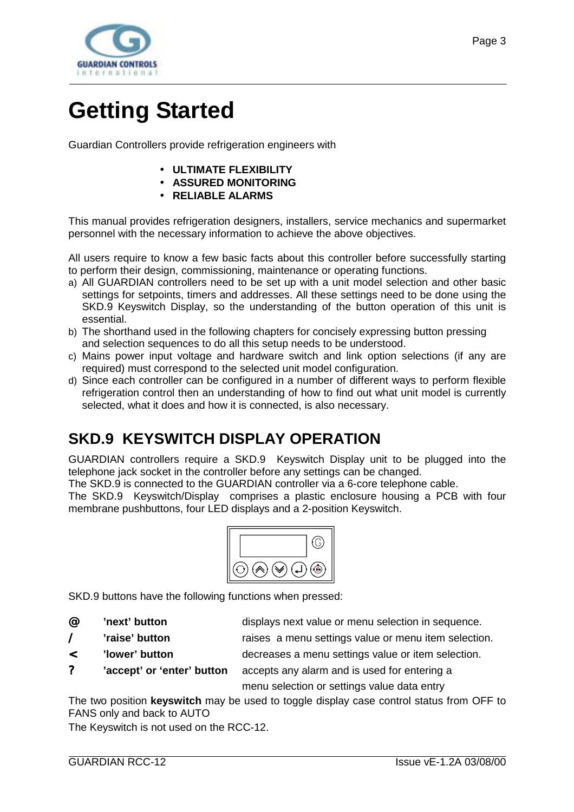<span id="page-2-0"></span>

# **Getting Started**

Guardian Controllers provide refrigeration engineers with

- **ULTIMATE FLEXIBILITY**
- **ASSURED MONITORING**
- **RELIABLE ALARMS**

This manual provides refrigeration designers, installers, service mechanics and supermarket personnel with the necessary information to achieve the above objectives.

All users require to know a few basic facts about this controller before successfully starting to perform their design, commissioning, maintenance or operating functions.

- a) All GUARDIAN controllers need to be set up with a unit model selection and other basic settings for setpoints, timers and addresses. All these settings need to be done using the SKD.9 Keyswitch Display, so the understanding of the button operation of this unit is essential.
- b) The shorthand used in the following chapters for concisely expressing button pressing and selection sequences to do all this setup needs to be understood.
- c) Mains power input voltage and hardware switch and link option selections (if any are required) must correspond to the selected unit model configuration.
- d) Since each controller can be configured in a number of different ways to perform flexible refrigeration control then an understanding of how to find out what unit model is currently selected, what it does and how it is connected, is also necessary.

### **SKD.9 KEYSWITCH DISPLAY OPERATION**

GUARDIAN controllers require a SKD.9 Keyswitch Display unit to be plugged into the telephone jack socket in the controller before any settings can be changed.

The SKD.9 is connected to the GUARDIAN controller via a 6-core telephone cable.

The SKD.9 Keyswitch/Display comprises a plastic enclosure housing a PCB with four membrane pushbuttons, four LED displays and a 2-position Keyswitch.



SKD.9 buttons have the following functions when pressed:

@ **'next' button** displays next value or menu selection in sequence.

/ **'raise' button** raises a menu settings value or menu item selection.

< **'lower' button** decreases a menu settings value or item selection.

? **'accept' or 'enter' button** accepts any alarm and is used for entering a

menu selection or settings value data entry

The two position **keyswitch** may be used to toggle display case control status from OFF to FANS only and back to AUTO

The Keyswitch is not used on the RCC-12.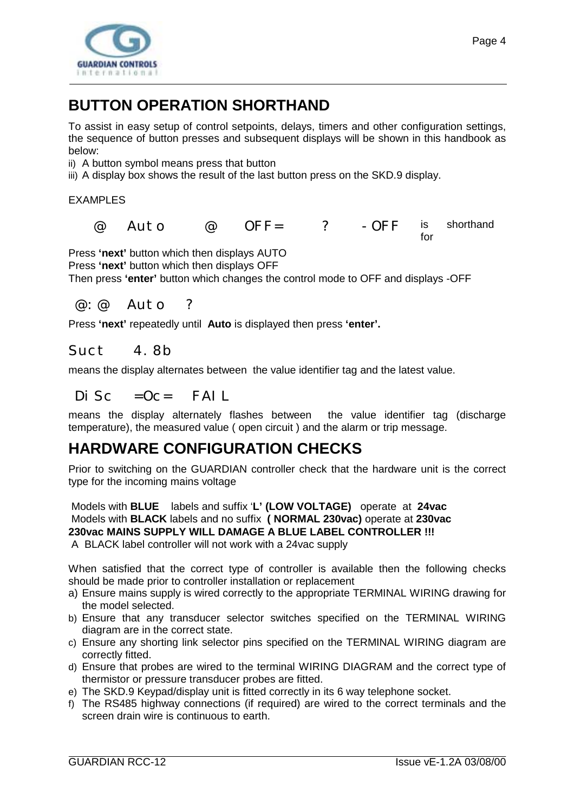<span id="page-3-0"></span>

Page 4

# **BUTTON OPERATION SHORTHAND**

To assist in easy setup of control setpoints, delays, timers and other configuration settings, the sequence of button presses and subsequent displays will be shown in this handbook as below:

ii) A button symbol means press that button

iii) A display box shows the result of the last button press on the SKD.9 display.

EXAMPLES

 $\varpi$  Auto  $\varpi$  OFF= ? - OFF is shorthand for

Press **'next'** button which then displays AUTO

Press **'next'** button which then displays OFF

Then press **'enter'** button which changes the control mode to OFF and displays -OFF

@:@ Auto ?

Press **'next'** repeatedly until **Auto** is displayed then press **'enter'.**

#### Suct 4.8b

means the display alternates between the value identifier tag and the latest value.

 $Di$  Sc = Oc= FAIL

means the display alternately flashes between the value identifier tag (discharge temperature), the measured value ( open circuit ) and the alarm or trip message.

### **HARDWARE CONFIGURATION CHECKS**

Prior to switching on the GUARDIAN controller check that the hardware unit is the correct type for the incoming mains voltage

 Models with **BLUE** labels and suffix '**L' (LOW VOLTAGE)** operate at **24vac** Models with **BLACK** labels and no suffix **( NORMAL 230vac)** operate at **230vac 230vac MAINS SUPPLY WILL DAMAGE A BLUE LABEL CONTROLLER !!!** A BLACK label controller will not work with a 24vac supply

When satisfied that the correct type of controller is available then the following checks should be made prior to controller installation or replacement

- a) Ensure mains supply is wired correctly to the appropriate TERMINAL WIRING drawing for the model selected.
- b) Ensure that any transducer selector switches specified on the TERMINAL WIRING diagram are in the correct state.
- c) Ensure any shorting link selector pins specified on the TERMINAL WIRING diagram are correctly fitted.
- d) Ensure that probes are wired to the terminal WIRING DIAGRAM and the correct type of thermistor or pressure transducer probes are fitted.
- e) The SKD.9 Keypad/display unit is fitted correctly in its 6 way telephone socket.
- f) The RS485 highway connections (if required) are wired to the correct terminals and the screen drain wire is continuous to earth.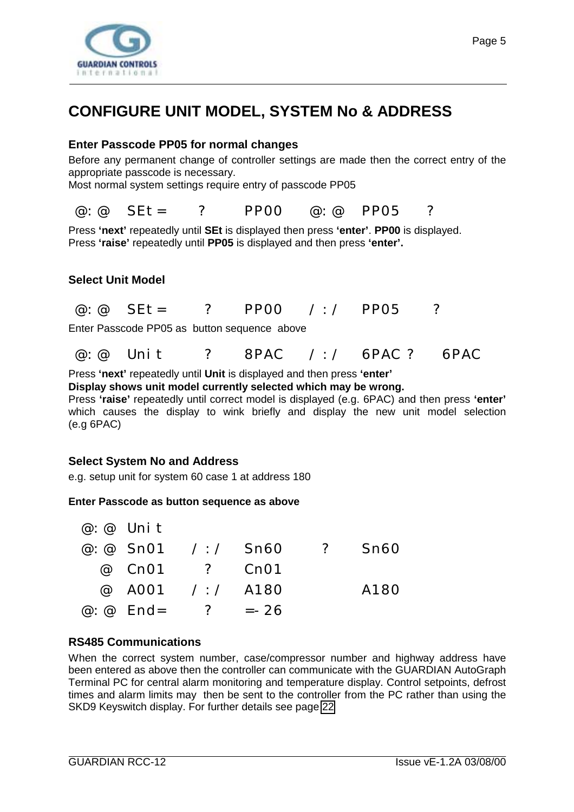<span id="page-4-0"></span>

### **CONFIGURE UNIT MODEL, SYSTEM No & ADDRESS**

#### **Enter Passcode PP05 for normal changes**

Before any permanent change of controller settings are made then the correct entry of the appropriate passcode is necessary.

Most normal system settings require entry of passcode PP05

@:@ SEt= ? PP00 @:@ PP05 ?

Press **'next'** repeatedly until **SEt** is displayed then press **'enter'**. **PP00** is displayed. Press **'raise'** repeatedly until **PP05** is displayed and then press **'enter'.**

#### **Select Unit Model**

| $@: @$ SEt= |  | ? PP00 |  | $\angle$ : / PP05 |  |
|-------------|--|--------|--|-------------------|--|
|-------------|--|--------|--|-------------------|--|

Enter Passcode PP05 as button sequence above

 $\omega \omega$  Unit ? 8PAC / / 6PAC ? 6PAC

Press **'next'** repeatedly until **Unit** is displayed and then press **'enter'**

**Display shows unit model currently selected which may be wrong.**

Press **'raise'** repeatedly until correct model is displayed (e.g. 6PAC) and then press **'enter'** which causes the display to wink briefly and display the new unit model selection (e.g 6PAC)

#### **Select System No and Address**

e.g. setup unit for system 60 case 1 at address 180

#### **Enter Passcode as button sequence as above**

|  | $@: @$ Unit |                         |                |      |
|--|-------------|-------------------------|----------------|------|
|  |             | @: @ $Sn01 / : /$ Sn60  | $\overline{?}$ | Sn60 |
|  |             | @ Cn01 ? Cn01           |                |      |
|  |             | @ A001 /:/ A180         |                | A180 |
|  |             | @ $\omega$ End= ? = -26 |                |      |

#### **RS485 Communications**

When the correct system number, case/compressor number and highway address have been entered as above then the controller can communicate with the GUARDIAN AutoGraph Terminal PC for central alarm monitoring and temperature display. Control setpoints, defrost times and alarm limits may then be sent to the controller from the PC rather than using the SKD9 Keyswitch display. For further details see page [22](#page-21-0)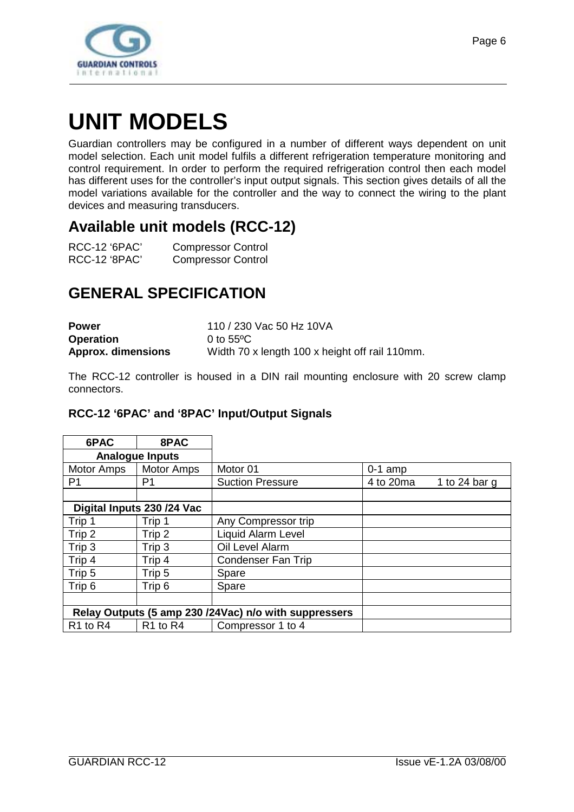<span id="page-5-0"></span>

# **UNIT MODELS**

Guardian controllers may be configured in a number of different ways dependent on unit model selection. Each unit model fulfils a different refrigeration temperature monitoring and control requirement. In order to perform the required refrigeration control then each model has different uses for the controller's input output signals. This section gives details of all the model variations available for the controller and the way to connect the wiring to the plant devices and measuring transducers.

### **Available unit models (RCC-12)**

| RCC-12 '6PAC' | <b>Compressor Control</b> |
|---------------|---------------------------|
| RCC-12 '8PAC' | <b>Compressor Control</b> |

## **GENERAL SPECIFICATION**

| <b>Power</b>              | 110 / 230 Vac 50 Hz 10VA                       |
|---------------------------|------------------------------------------------|
| <b>Operation</b>          | 0 to $55^{\circ}$ C                            |
| <b>Approx.</b> dimensions | Width 70 x length 100 x height off rail 110mm. |

The RCC-12 controller is housed in a DIN rail mounting enclosure with 20 screw clamp connectors.

#### **RCC-12 '6PAC' and '8PAC' Input/Output Signals**

| 6PAC                             | 8PAC                             |                                                       |           |               |
|----------------------------------|----------------------------------|-------------------------------------------------------|-----------|---------------|
|                                  | <b>Analogue Inputs</b>           |                                                       |           |               |
| Motor Amps                       | <b>Motor Amps</b>                | Motor 01                                              | $0-1$ amp |               |
| P <sub>1</sub>                   | P1                               | <b>Suction Pressure</b>                               | 4 to 20ma | 1 to 24 bar g |
|                                  |                                  |                                                       |           |               |
|                                  | Digital Inputs 230 /24 Vac       |                                                       |           |               |
| Trip 1                           | Trip 1                           | Any Compressor trip                                   |           |               |
| Trip 2                           | Trip 2                           | <b>Liquid Alarm Level</b>                             |           |               |
| Trip 3                           | Trip 3                           | Oil Level Alarm                                       |           |               |
| Trip $4$                         | Trip 4                           | <b>Condenser Fan Trip</b>                             |           |               |
| Trip 5                           | Trip 5                           | Spare                                                 |           |               |
| Trip 6                           | Trip 6                           | Spare                                                 |           |               |
|                                  |                                  |                                                       |           |               |
|                                  |                                  | Relay Outputs (5 amp 230 /24Vac) n/o with suppressers |           |               |
| R <sub>1</sub> to R <sub>4</sub> | R <sub>1</sub> to R <sub>4</sub> | Compressor 1 to 4                                     |           |               |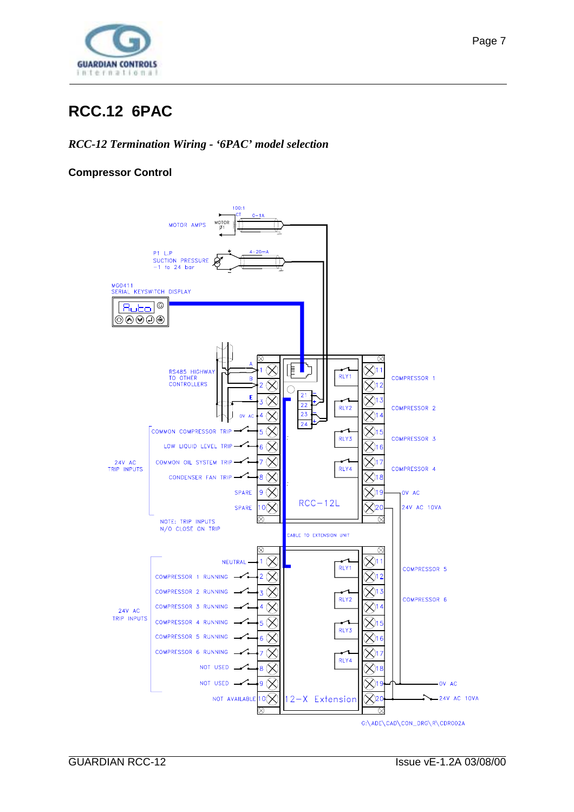<span id="page-6-0"></span>

# **RCC.12 6PAC**

#### *RCC-12 Termination Wiring - '6PAC' model selection*

#### **Compressor Control**

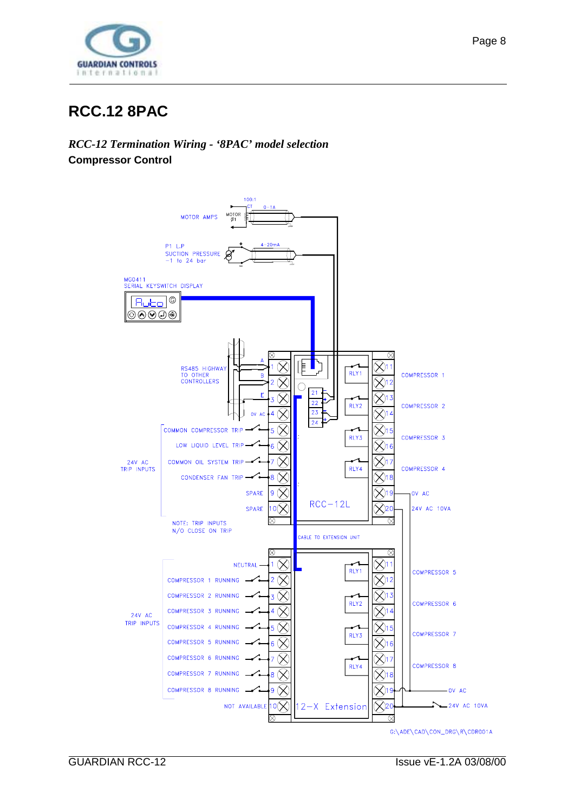<span id="page-7-0"></span>

### **RCC.12 8PAC**

*RCC-12 Termination Wiring - '8PAC' model selection* **Compressor Control**

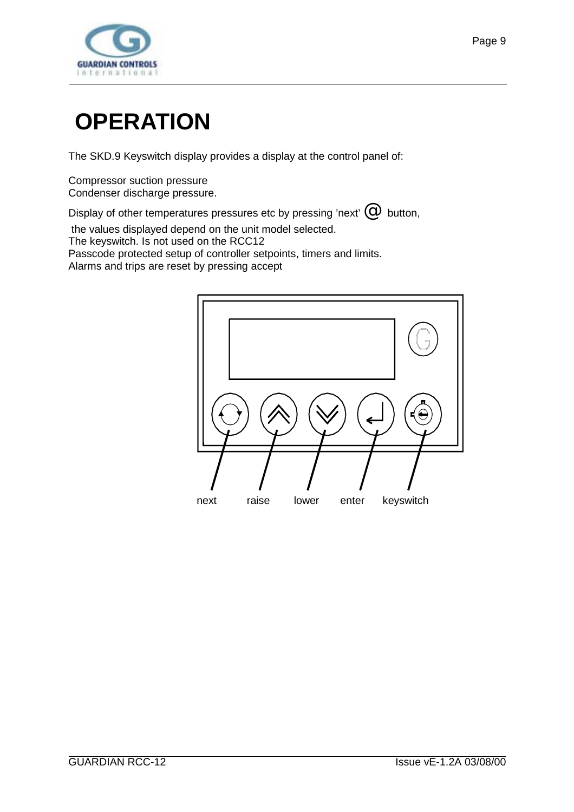<span id="page-8-0"></span>

# **OPERATION**

The SKD.9 Keyswitch display provides a display at the control panel of:

Compressor suction pressure Condenser discharge pressure.

Display of other temperatures pressures etc by pressing 'next'  $\mathcal O\!\!\!\!\!\!\!\!C\,$  button,

the values displayed depend on the unit model selected.

The keyswitch. Is not used on the RCC12

Passcode protected setup of controller setpoints, timers and limits.

Alarms and trips are reset by pressing accept

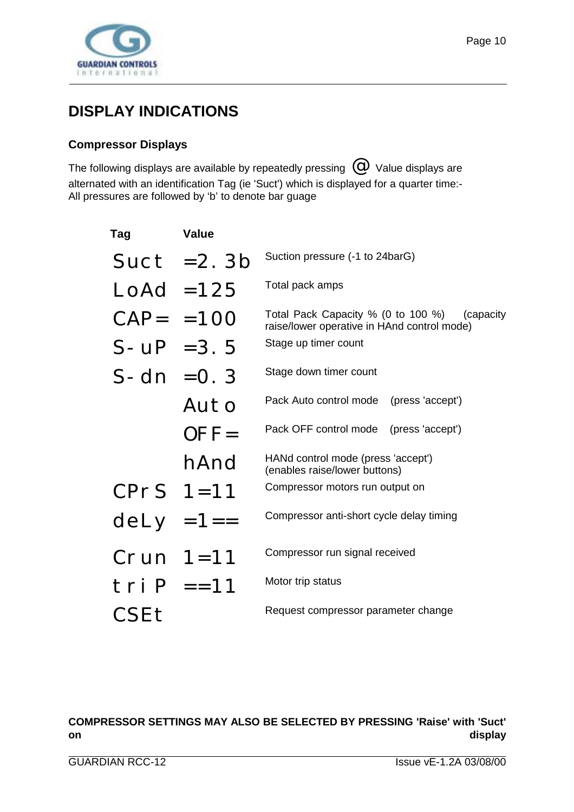<span id="page-9-0"></span>

### **DISPLAY INDICATIONS**

#### **Compressor Displays**

The following displays are available by repeatedly pressing  $\left\lvert \mathcal{O} \right\rvert$  Value displays are alternated with an identification Tag (ie 'Suct') which is displayed for a quarter time:- All pressures are followed by 'b' to denote bar guage

| Tag                 | <b>Value</b> |                                                                                                 |
|---------------------|--------------|-------------------------------------------------------------------------------------------------|
|                     | Suct $=2.3b$ | Suction pressure (-1 to 24barG)                                                                 |
| $\text{Lodd} = 125$ |              | Total pack amps                                                                                 |
| $CAP = = 100$       |              | Total Pack Capacity % (0 to 100 %)<br>(capacity)<br>raise/lower operative in HAnd control mode) |
| $S - UP = 3.5$      |              | Stage up timer count                                                                            |
| $S-dn = 0.3$        |              | Stage down timer count                                                                          |
|                     | Auto         | Pack Auto control mode (press 'accept')                                                         |
|                     | $OFF=$       | Pack OFF control mode (press 'accept')                                                          |
|                     | hAnd         | HANd control mode (press 'accept')<br>(enables raise/lower buttons)                             |
| CPrS $1=11$         |              | Compressor motors run output on                                                                 |
| $dely = 1 ==$       |              | Compressor anti-short cycle delay timing                                                        |
| $Crun 1=11$         |              | Compressor run signal received                                                                  |
| $tri P = 11$        |              | Motor trip status                                                                               |
| CSEt                |              | Request compressor parameter change                                                             |

#### **COMPRESSOR SETTINGS MAY ALSO BE SELECTED BY PRESSING 'Raise' with 'Suct' on display**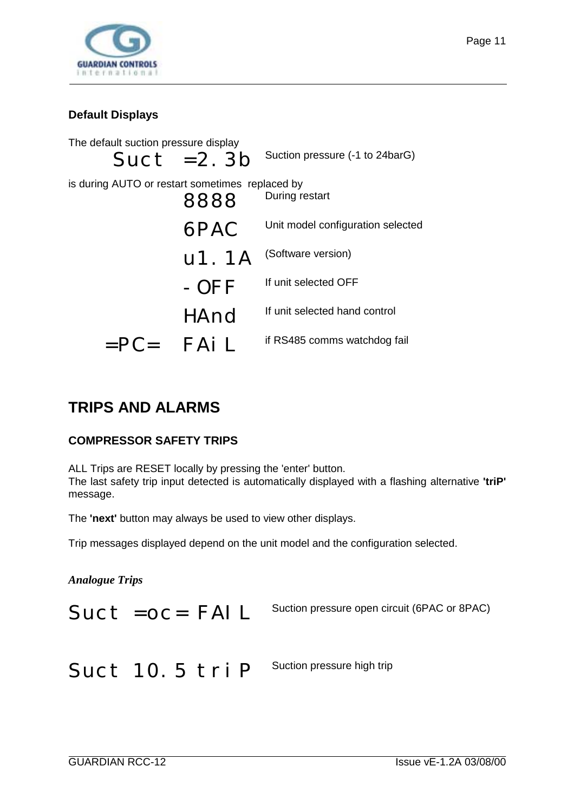<span id="page-10-0"></span>

#### **Default Displays**

The default suction pressure display  $SUCt = 2.3b$  Suction pressure (-1 to 24barG) is during AUTO or restart sometimes replaced by 8888 During restart 6PAC Unit model configuration selected U1. 1A (Software version) - OFF If unit selected OFF HAnd If unit selected hand control  $=PC=$   $FAiL$  if RS485 comms watchdog fail

### **TRIPS AND ALARMS**

#### **COMPRESSOR SAFETY TRIPS**

ALL Trips are RESET locally by pressing the 'enter' button. The last safety trip input detected is automatically displayed with a flashing alternative **'triP'** message.

The **'next'** button may always be used to view other displays.

Trip messages displayed depend on the unit model and the configuration selected.

*Analogue Trips*

Suct = OC = FAIL Suction pressure open circuit (6PAC or 8PAC)

Suct 10. 5 tri P Suction pressure high trip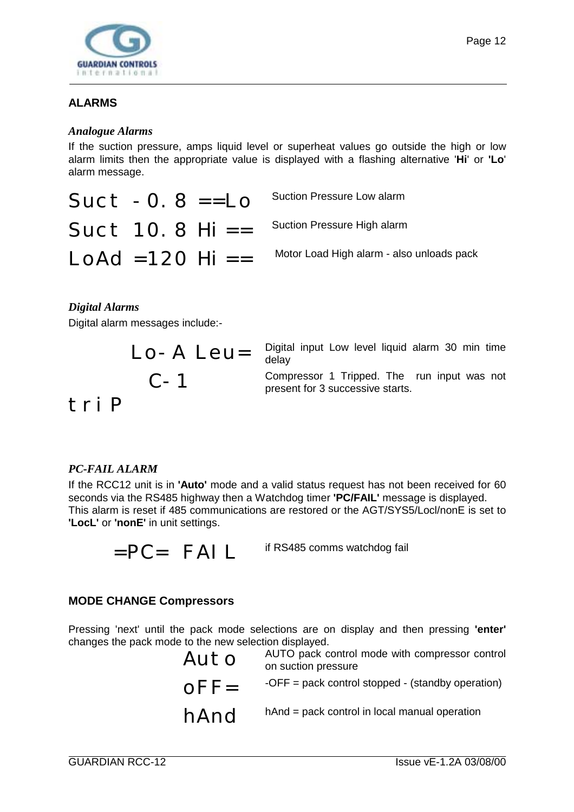<span id="page-11-0"></span>

#### **ALARMS**

#### *Analogue Alarms*

If the suction pressure, amps liquid level or superheat values go outside the high or low alarm limits then the appropriate value is displayed with a flashing alternative '**Hi**' or **'Lo**' alarm message.

| $Suct -0.8 == Lo$                              | <b>Suction Pressure Low alarm</b>         |
|------------------------------------------------|-------------------------------------------|
| Suct $10.8$ Hi $=$ Suction Pressure High alarm |                                           |
| $LOAd = 120$ Hi ==                             | Motor Load High alarm - also unloads pack |

#### *Digital Alarms*

Digital alarm messages include:-

$$
LO-A \text{ Leu} =
$$

$$
C-1
$$

Digital input Low level liquid alarm 30 min time delay

Compressor 1 Tripped. The run input was not present for 3 successive starts.

### triP

#### *PC-FAIL ALARM*

If the RCC12 unit is in **'Auto'** mode and a valid status request has not been received for 60 seconds via the RS485 highway then a Watchdog timer **'PC/FAIL'** message is displayed. This alarm is reset if 485 communications are restored or the AGT/SYS5/Locl/nonE is set to **'LocL'** or **'nonE'** in unit settings.

 $=PC=$   $FAI L$  if RS485 comms watchdog fail

#### **MODE CHANGE Compressors**

Pressing 'next' until the pack mode selections are on display and then pressing **'enter'** changes the pack mode to the new selection displayed.

| Auto    | AUTO pack control mode with compressor control<br>on suction pressure |
|---------|-----------------------------------------------------------------------|
| $OFF =$ | -OFF = pack control stopped - (standby operation)                     |
| hAnd    | hAnd = pack control in local manual operation                         |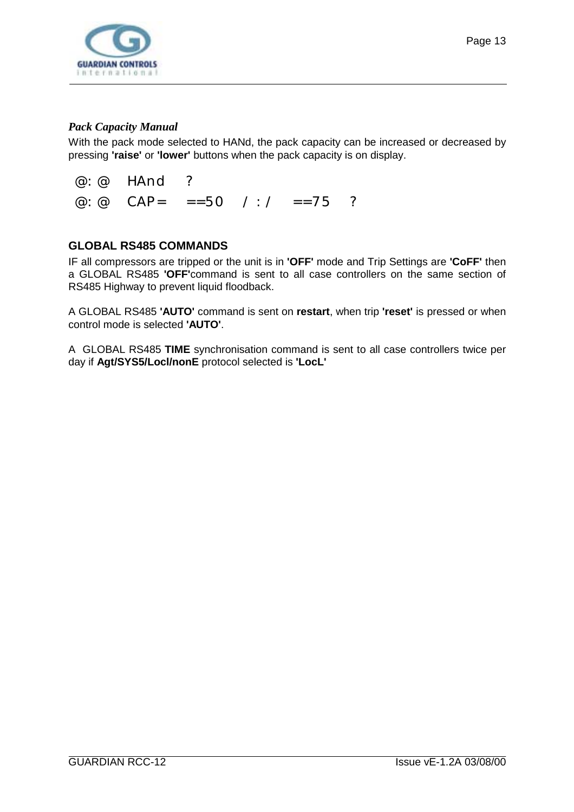<span id="page-12-0"></span>

#### *Pack Capacity Manual*

With the pack mode selected to HANd, the pack capacity can be increased or decreased by pressing **'raise'** or **'lower'** buttons when the pack capacity is on display.

 @:@ HAnd ? @:@ CAP= ==50 /:/ ==75 ?

#### **GLOBAL RS485 COMMANDS**

IF all compressors are tripped or the unit is in **'OFF'** mode and Trip Settings are **'CoFF'** then a GLOBAL RS485 **'OFF'**command is sent to all case controllers on the same section of RS485 Highway to prevent liquid floodback.

A GLOBAL RS485 **'AUTO'** command is sent on **restart**, when trip **'reset'** is pressed or when control mode is selected **'AUTO'**.

A GLOBAL RS485 **TIME** synchronisation command is sent to all case controllers twice per day if **Agt/SYS5/Locl/nonE** protocol selected is **'LocL'**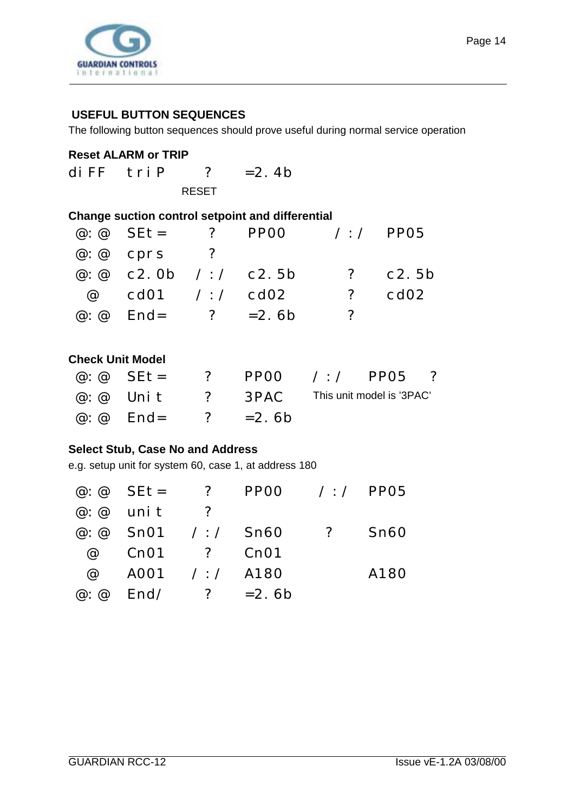<span id="page-13-0"></span>

#### **USEFUL BUTTON SEQUENCES**

The following button sequences should prove useful during normal service operation

#### **Reset ALARM or TRIP**

diFF  $tri P$  ? = 2.4b RESET

#### **Change suction control setpoint and differential**

| $\omega$ $\omega$ SE t = ?        | $PPOO$ /:/ $PPO5$ |                |             |
|-----------------------------------|-------------------|----------------|-------------|
| $\omega$ : $\omega$ cprs ?        |                   |                |             |
| @ $\omega$ c2.0b / : / c2.5b      |                   |                | $?$ $C2.5b$ |
| $@$ cd01 /:/ cd02                 |                   | $\overline{?}$ | cd02        |
| $\omega$ : $\omega$ End= ? = 2.6b |                   | - 2 -          |             |

#### **Check Unit Model**

|                                   | @: @ $\text{Set} = ? \quad \text{PPOO} \quad / : / \quad \text{PPO5} \quad ?$ |  |  |
|-----------------------------------|-------------------------------------------------------------------------------|--|--|
|                                   | $@: @$ Unit ? 3PAC This unit model is '3PAC'                                  |  |  |
| $\omega$ : $\omega$ End= ? = 2.6b |                                                                               |  |  |

#### **Select Stub, Case No and Address**

e.g. setup unit for system 60, case 1, at address 180

|                          |                | @ $\omega$ $\omega$ SEt = ? PP00 / / PP05 |                |      |
|--------------------------|----------------|-------------------------------------------|----------------|------|
| $\varpi$ : $\varpi$ unit | $\overline{z}$ |                                           |                |      |
| @: @ $SnO1 / : /$ Sn60   |                |                                           | $\overline{?}$ | Sn60 |
| @ Cn01 ? Cn01            |                |                                           |                |      |
| @ A001 /:/ A180          |                |                                           |                | A180 |
| @ $\omega$ End/ ? = 2.6b |                |                                           |                |      |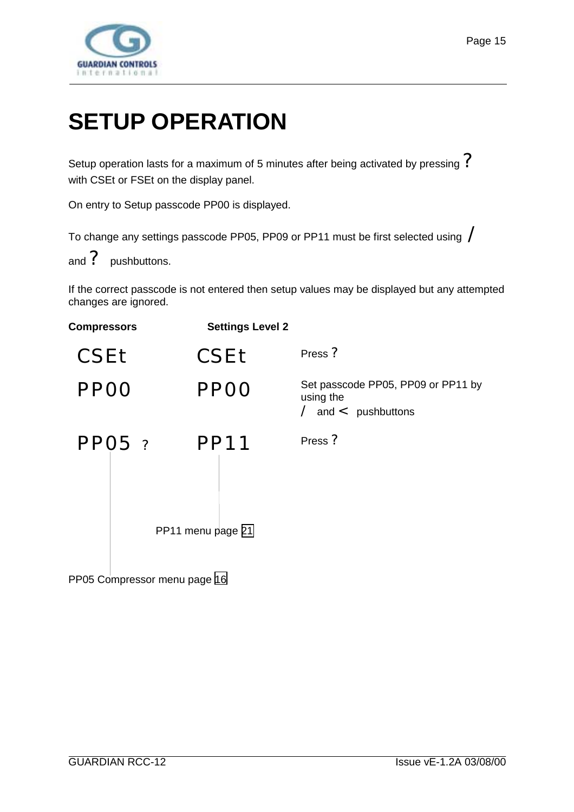<span id="page-14-0"></span>

# **SETUP OPERATION**

Setup operation lasts for a maximum of 5 minutes after being activated by pressing  $\mathcal P$ with CSEt or FSEt on the display panel.

On entry to Setup passcode PP00 is displayed.

To change any settings passcode PP05, PP09 or PP11 must be first selected using /

and ? pushbuttons.

If the correct passcode is not entered then setup values may be displayed but any attempted changes are ignored.

| <b>Compressors</b> |          | <b>Settings Level 2</b>          |                                                                                   |
|--------------------|----------|----------------------------------|-----------------------------------------------------------------------------------|
| CSEt               |          | CSEt                             | Press ?                                                                           |
| <b>PPOO</b>        |          | <b>PPOO</b>                      | Set passcode PP05, PP09 or PP11 by<br>using the<br>$\angle$ and $\lt$ pushbuttons |
|                    | $PPO5$ ? | <b>PP11</b><br>PP11 menu page 21 | Press ?                                                                           |
|                    |          |                                  |                                                                                   |

PP05 Compressor menu page [16](#page-15-0)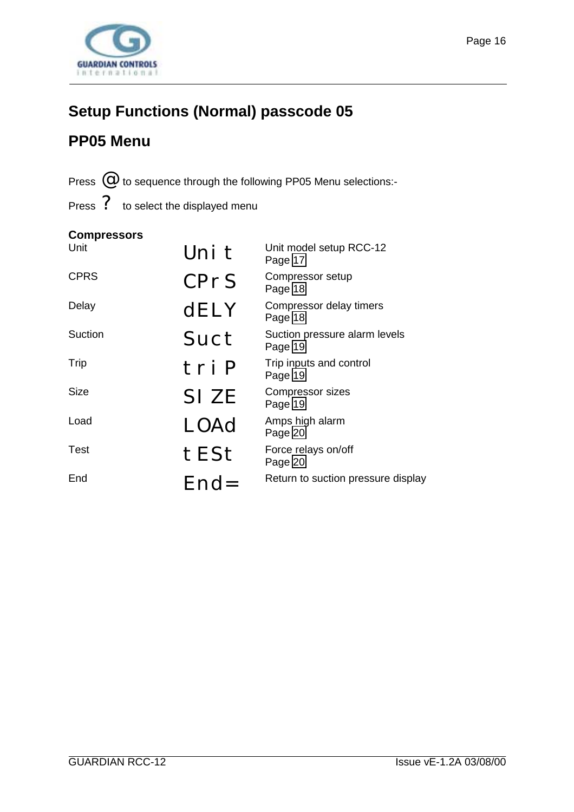<span id="page-15-0"></span>

# **Setup Functions (Normal) passcode 05**

# **PP05 Menu**

Press  $\mathcal O$  to sequence through the following PP05 Menu selections:-

Press ? to select the displayed menu

#### **Compressors**

| Unit        | Uni t       | Unit model setup RCC-12<br>Page 17       |
|-------------|-------------|------------------------------------------|
| <b>CPRS</b> | CPrS        | Compressor setup<br>Page 18              |
| Delay       | <b>dELY</b> | Compressor delay timers<br>Page 18       |
| Suction     | Suct        | Suction pressure alarm levels<br>Page 19 |
| Trip        | tri P       | Trip inputs and control<br>Page 19       |
| <b>Size</b> | SI ZE       | Compressor sizes<br>Page 19              |
| Load        | LOAd        | Amps high alarm<br>Page 20               |
| Test        | tESt        | Force relays on/off<br>Page 20           |
| End         | $End=$      | Return to suction pressure display       |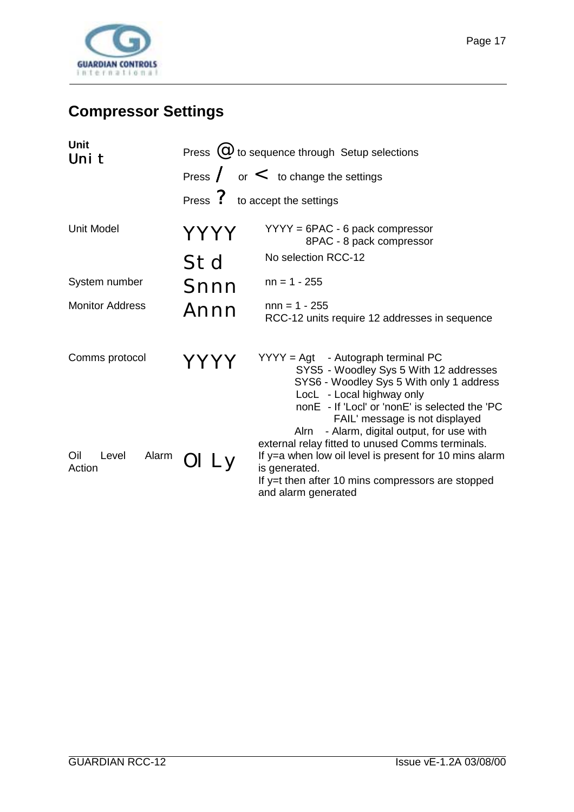<span id="page-16-0"></span>

# **Compressor Settings**

| <b>Unit</b><br>Uni t            | Press $(\mathcal{Q})$ to sequence through Setup selections |                                                                                                                                                                                                                                                          |  |
|---------------------------------|------------------------------------------------------------|----------------------------------------------------------------------------------------------------------------------------------------------------------------------------------------------------------------------------------------------------------|--|
|                                 |                                                            | Press $/$ or $<$ to change the settings                                                                                                                                                                                                                  |  |
|                                 |                                                            | Press ? to accept the settings                                                                                                                                                                                                                           |  |
| <b>Unit Model</b>               | YYYY                                                       | $YYYY = 6PAC - 6$ pack compressor<br>8PAC - 8 pack compressor                                                                                                                                                                                            |  |
|                                 | Std                                                        | No selection RCC-12                                                                                                                                                                                                                                      |  |
| System number                   | Snnn                                                       | $nn = 1 - 255$                                                                                                                                                                                                                                           |  |
| <b>Monitor Address</b>          | Annn                                                       | $nnn = 1 - 255$<br>RCC-12 units require 12 addresses in sequence                                                                                                                                                                                         |  |
| Comms protocol                  |                                                            | $YYYY = Agt - Autograph terminal PC$<br>SYS5 - Woodley Sys 5 With 12 addresses<br>SYS6 - Woodley Sys 5 With only 1 address<br>LocL - Local highway only<br>nonE - If 'Locl' or 'nonE' is selected the 'PC<br>FAIL' message is not displayed              |  |
| Oil<br>Level<br>Alarm<br>Action | OI Ly                                                      | - Alarm, digital output, for use with<br>Alrn<br>external relay fitted to unused Comms terminals.<br>If y=a when low oil level is present for 10 mins alarm<br>is generated.<br>If y=t then after 10 mins compressors are stopped<br>and alarm generated |  |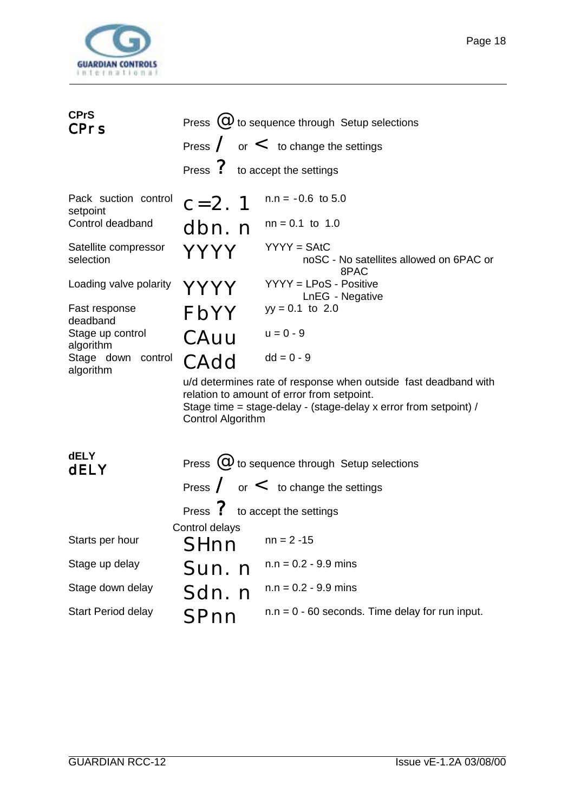<span id="page-17-0"></span>

| <b>CPrS</b><br><b>CPrs</b>                                                                                          | Press ? to accept the settings                   | Press $(\mathcal{Q})$ to sequence through Setup selections<br>Press $\sqrt{\ }$ or $\lt$ to change the settings                                                                                                                                          |
|---------------------------------------------------------------------------------------------------------------------|--------------------------------------------------|----------------------------------------------------------------------------------------------------------------------------------------------------------------------------------------------------------------------------------------------------------|
| Pack suction control<br>setpoint<br>Control deadband<br>Satellite compressor<br>selection<br>Loading valve polarity | $c = 2.1$<br>dbn. n<br>YYYY<br>YYYY              | $n.n = -0.6$ to 5.0<br>$nn = 0.1$ to 1.0<br>$YYYY = SAtC$<br>noSC - No satellites allowed on 6PAC or<br>8PAC<br>YYYY = LPoS - Positive                                                                                                                   |
| Fast response<br>deadband<br>Stage up control<br>algorithm<br>Stage down control<br>algorithm                       | FbYY<br>CAuu<br>CAdd<br><b>Control Algorithm</b> | LnEG - Negative<br>$yy = 0.1$ to 2.0<br>$u = 0 - 9$<br>$dd = 0 - 9$<br>u/d determines rate of response when outside fast deadband with<br>relation to amount of error from setpoint.<br>Stage time = stage-delay - (stage-delay x error from setpoint) / |
| <b>dELY</b><br>dELY                                                                                                 | Press ? to accept the settings                   | Press $\omega$ to sequence through Setup selections<br>Press $\angle$ or $\lt$ to change the settings                                                                                                                                                    |
| Starts per hour                                                                                                     | Control delays<br>SHnn                           | $nn = 2 -15$                                                                                                                                                                                                                                             |
| Stage up delay                                                                                                      | Sun. n                                           | $n.n = 0.2 - 9.9$ mins                                                                                                                                                                                                                                   |
| Stage down delay                                                                                                    | Sdn. n                                           | $n.n = 0.2 - 9.9$ mins                                                                                                                                                                                                                                   |
| Start Period delay                                                                                                  | SPnn                                             | $n.n = 0 - 60$ seconds. Time delay for run input.                                                                                                                                                                                                        |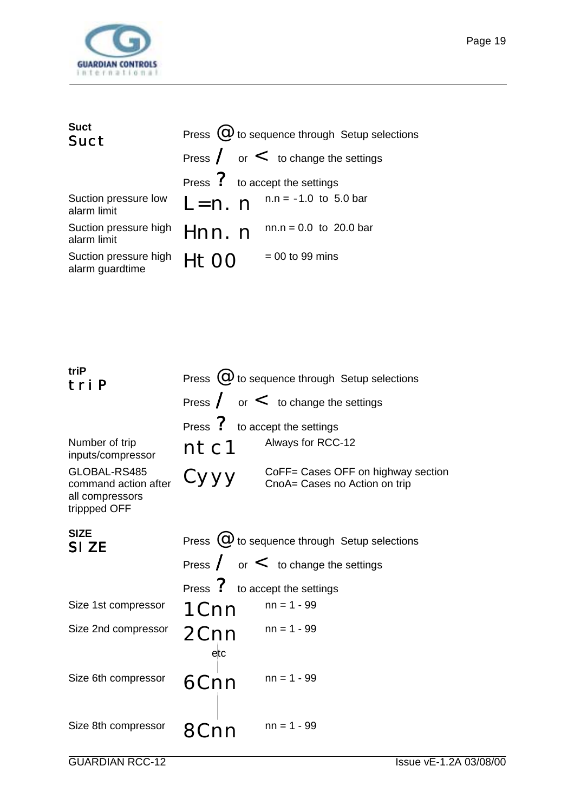<span id="page-18-0"></span>

| <b>Suct</b><br>Suct                      |          | Press $\omega$ to sequence through Setup selections |
|------------------------------------------|----------|-----------------------------------------------------|
|                                          |          | Press $\angle$ or $\lt$ to change the settings      |
|                                          |          | Press ? to accept the settings                      |
| Suction pressure low<br>alarm limit      |          | $L = n$ . n $n.n = -1.0$ to 5.0 bar                 |
| Suction pressure high<br>alarm limit     | Hnn. n   | $nn.n = 0.0$ to 20.0 bar                            |
| Suction pressure high<br>alarm guardtime | $H + OO$ | $= 00$ to 99 mins                                   |

| triP<br>tri P                                                           |                                | Press $(\mathcal{Q})$ to sequence through Setup selections          |
|-------------------------------------------------------------------------|--------------------------------|---------------------------------------------------------------------|
|                                                                         |                                | Press $/$ or $<$ to change the settings                             |
|                                                                         | Press ? to accept the settings |                                                                     |
| Number of trip<br>inputs/compressor                                     | ntc1                           | Always for RCC-12                                                   |
| GLOBAL-RS485<br>command action after<br>all compressors<br>trippped OFF | Сууу                           | CoFF= Cases OFF on highway section<br>CnoA= Cases no Action on trip |
| <b>SIZE</b><br>SI ZE                                                    |                                | Press $(\mathcal{Q})$ to sequence through Setup selections          |
|                                                                         |                                | Press $\angle$ or $\lt$ to change the settings                      |
|                                                                         | Press ? to accept the settings |                                                                     |
| Size 1st compressor                                                     | 1 <sub>Cnn</sub>               | $nn = 1 - 99$                                                       |
| Size 2nd compressor                                                     | 2Cnn<br>$_{\text{etc}}$        | $nn = 1 - 99$                                                       |
| Size 6th compressor                                                     | 6Cnn                           | $nn = 1 - 99$                                                       |
| Size 8th compressor                                                     |                                | $nn = 1 - 99$                                                       |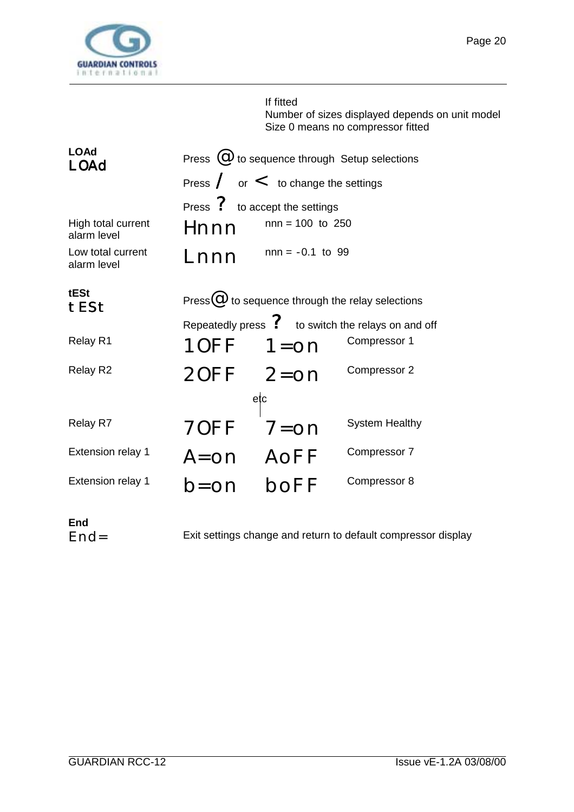<span id="page-19-0"></span>

# If fitted Number of sizes displayed depends on unit model Size 0 means no compressor fitted

| <b>LOAd</b><br>LOAd               |                                | Press $\omega$ to sequence through Setup selections     |                                                                |
|-----------------------------------|--------------------------------|---------------------------------------------------------|----------------------------------------------------------------|
|                                   |                                | Press $\angle$ or $\lt$ to change the settings          |                                                                |
|                                   | Press ? to accept the settings |                                                         |                                                                |
| High total current<br>alarm level | Hnnn                           | $nnn = 100$ to 250                                      |                                                                |
| Low total current<br>alarm level  | Lnnn                           | $nnn = -0.1$ to 99                                      |                                                                |
| tESt<br>tESt                      |                                | Press $\omega$ to sequence through the relay selections |                                                                |
|                                   |                                |                                                         | Repeatedly press $\mathcal{P}$ to switch the relays on and off |
| Relay R1                          | $10FF$ $1=$ on                 |                                                         | Compressor 1                                                   |
| Relay R2                          | $20FF$ $2=0n$                  |                                                         | Compressor 2                                                   |
|                                   | etc                            |                                                         |                                                                |
| Relay R7                          | 70FF                           | $7 =$ on                                                | <b>System Healthy</b>                                          |
| <b>Extension relay 1</b>          | A=on AoFF                      |                                                         | Compressor 7                                                   |
| <b>Extension relay 1</b>          | $b = 0n$                       | boFF                                                    | Compressor 8                                                   |

**End**

Exit settings change and return to default compressor display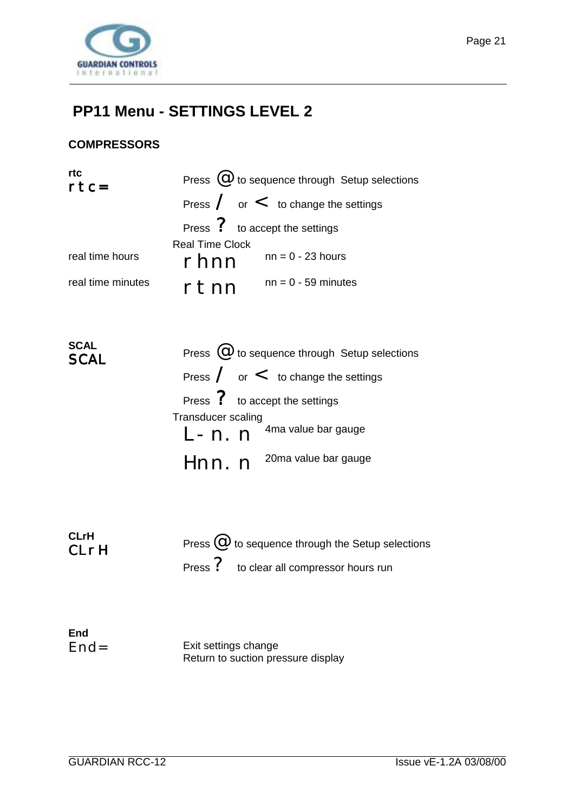<span id="page-20-0"></span>

## **PP11 Menu - SETTINGS LEVEL 2**

#### **COMPRESSORS**

| rtc<br>$rtc=$     |                        | Press $(\mathcal{Q})$ to sequence through Setup selections |
|-------------------|------------------------|------------------------------------------------------------|
|                   |                        | Press $\angle$ or $\lt$ to change the settings             |
|                   |                        | Press ? to accept the settings                             |
|                   | <b>Real Time Clock</b> |                                                            |
| real time hours   | rhnn                   | $nn = 0 - 23$ hours                                        |
| real time minutes | rtnn                   | $nn = 0 - 59$ minutes                                      |

| <b>SCAL</b><br><b>SCAL</b> | Press $(\mathcal{Q})$ to sequence through Setup selections |
|----------------------------|------------------------------------------------------------|
|                            | Press $\angle$ or $\lt$ to change the settings             |
|                            | Press ? to accept the settings                             |
|                            | Transducer scaling                                         |
|                            | $L - n$ . $n^{4}$ <sup>4ma value bar gauge</sup>           |
|                            | Hnn. n <sup>20ma value bar gauge</sup>                     |

| <b>CLrH</b><br>CLrH | Press $@$ to sequence through the Setup selections |
|---------------------|----------------------------------------------------|
|                     | Press ? to clear all compressor hours run          |

| End    |                                    |
|--------|------------------------------------|
| $End=$ | Exit settings change               |
|        | Return to suction pressure display |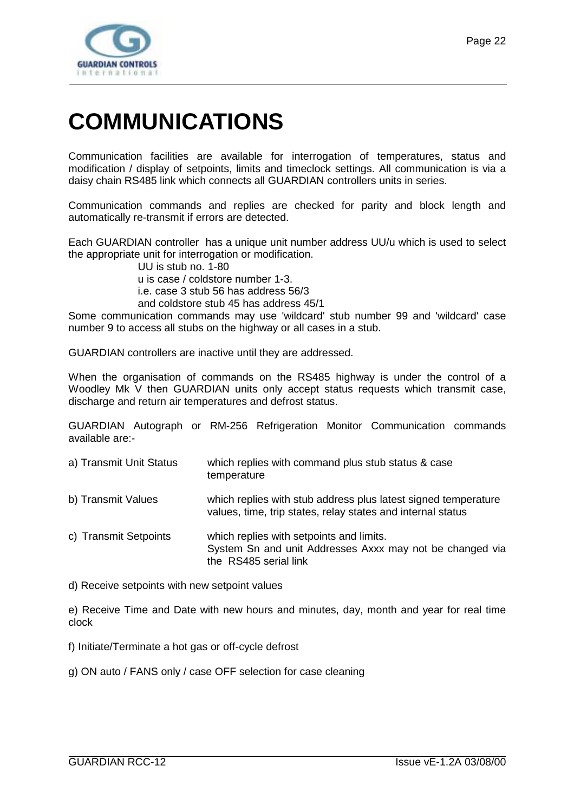<span id="page-21-0"></span>

# **COMMUNICATIONS**

Communication facilities are available for interrogation of temperatures, status and modification / display of setpoints, limits and timeclock settings. All communication is via a daisy chain RS485 link which connects all GUARDIAN controllers units in series.

Communication commands and replies are checked for parity and block length and automatically re-transmit if errors are detected.

Each GUARDIAN controller has a unique unit number address UU/u which is used to select the appropriate unit for interrogation or modification.

UU is stub no. 1-80

u is case / coldstore number 1-3.

i.e. case 3 stub 56 has address 56/3

and coldstore stub 45 has address 45/1

Some communication commands may use 'wildcard' stub number 99 and 'wildcard' case number 9 to access all stubs on the highway or all cases in a stub.

GUARDIAN controllers are inactive until they are addressed.

When the organisation of commands on the RS485 highway is under the control of a Woodley Mk V then GUARDIAN units only accept status requests which transmit case, discharge and return air temperatures and defrost status.

GUARDIAN Autograph or RM-256 Refrigeration Monitor Communication commands available are:-

| a) Transmit Unit Status | which replies with command plus stub status & case<br>temperature |
|-------------------------|-------------------------------------------------------------------|
| h) Tronomit Voluge      | which ropling with otub address plus latest signed tompera        |

- b) Transmit Values which replies with stub address plus latest signed temperature values, time, trip states, relay states and internal status
- c) Transmit Setpoints which replies with setpoints and limits. System Sn and unit Addresses Axxx may not be changed via the RS485 serial link

d) Receive setpoints with new setpoint values

e) Receive Time and Date with new hours and minutes, day, month and year for real time clock

f) Initiate/Terminate a hot gas or off-cycle defrost

g) ON auto / FANS only / case OFF selection for case cleaning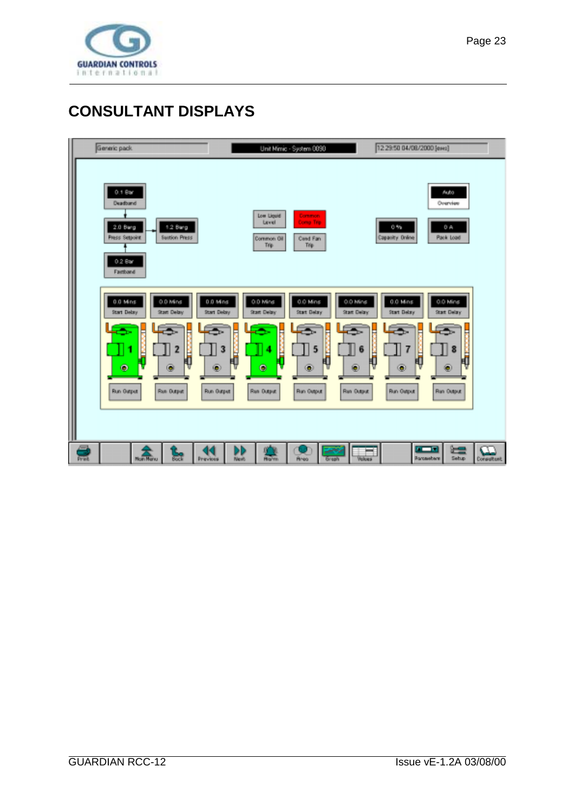<span id="page-22-0"></span>

# **CONSULTANT DISPLAYS**

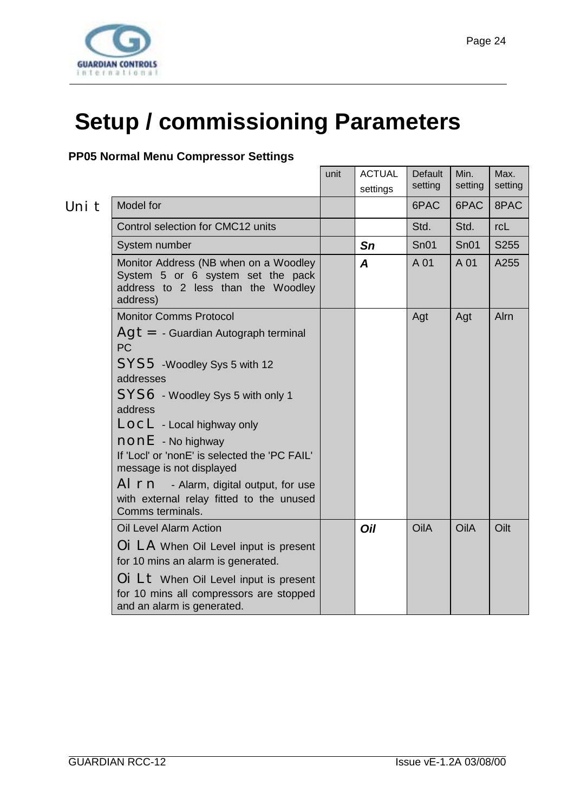<span id="page-23-0"></span>

# **Setup / commissioning Parameters**

#### **PP05 Normal Menu Compressor Settings**

| Uni |  |
|-----|--|

|       |                                                                                                                              | unit | <b>ACTUAL</b><br>settings | Default<br>setting | Min.<br>setting | Max.<br>setting |
|-------|------------------------------------------------------------------------------------------------------------------------------|------|---------------------------|--------------------|-----------------|-----------------|
| Uni t | Model for                                                                                                                    |      |                           | 6PAC               | 6PAC            | 8PAC            |
|       | Control selection for CMC12 units                                                                                            |      |                           | Std.               | Std.            | rcL             |
|       | System number                                                                                                                |      | Sn                        | SnO1               | SnO1            | S255            |
|       | Monitor Address (NB when on a Woodley<br>System 5 or 6 system set the pack<br>address to 2 less than the Woodley<br>address) |      | A                         | A 01               | A 01            | A255            |
|       | <b>Monitor Comms Protocol</b>                                                                                                |      |                           | Agt                | Agt             | Alrn            |
|       | $\overline{A}$ g $t = -$ Guardian Autograph terminal<br>PC<br>SYS5 - Woodley Sys 5 with 12                                   |      |                           |                    |                 |                 |
|       | addresses                                                                                                                    |      |                           |                    |                 |                 |
|       | SYS6 - Woodley Sys 5 with only 1<br>address                                                                                  |      |                           |                    |                 |                 |
|       | LOCL - Local highway only                                                                                                    |      |                           |                    |                 |                 |
|       | $\mathsf{nonE}$ - No highway                                                                                                 |      |                           |                    |                 |                 |
|       | If 'Locl' or 'nonE' is selected the 'PC FAIL'<br>message is not displayed                                                    |      |                           |                    |                 |                 |
|       | Al rn - Alarm, digital output, for use<br>with external relay fitted to the unused<br>Comms terminals.                       |      |                           |                    |                 |                 |
|       | <b>Oil Level Alarm Action</b>                                                                                                |      | Oil                       | OilA               | OilA            | Oilt            |
|       | OI LA When Oil Level input is present<br>for 10 mins an alarm is generated.                                                  |      |                           |                    |                 |                 |
|       | Oi Lt When Oil Level input is present<br>for 10 mins all compressors are stopped<br>and an alarm is generated.               |      |                           |                    |                 |                 |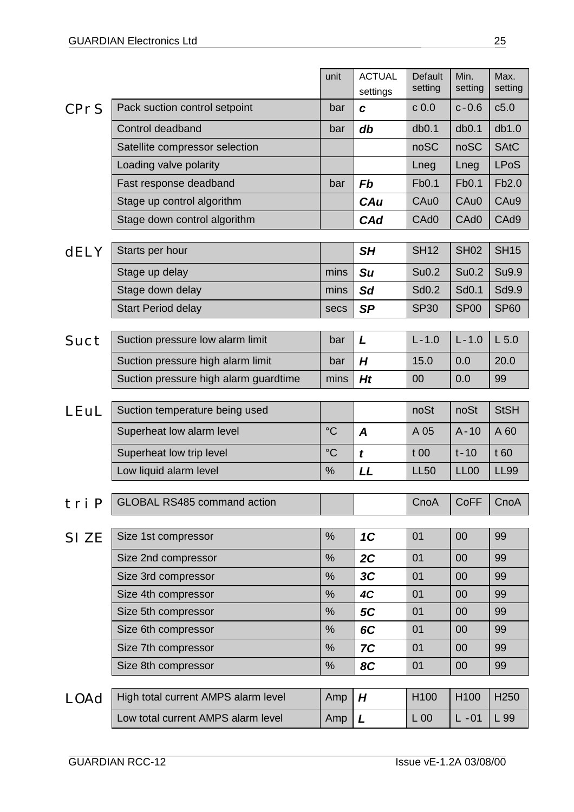|             |                                       | unit        | <b>ACTUAL</b><br>settings | Default<br>setting | Min.<br>setting    | Max.<br>setting  |
|-------------|---------------------------------------|-------------|---------------------------|--------------------|--------------------|------------------|
| <b>CPrS</b> | Pack suction control setpoint         | bar         | C                         | c <sub>0.0</sub>   | $c - 0.6$          | c5.0             |
|             | Control deadband                      | bar         | db                        | db0.1              | db0.1              | db1.0            |
|             | Satellite compressor selection        |             |                           | noSC               | noSC               | <b>SAtC</b>      |
|             | Loading valve polarity                |             |                           | Lneg               | Lneg               | <b>LPoS</b>      |
|             | Fast response deadband                | bar         | <b>Fb</b>                 | Fb0.1              | Fb0.1              | Fb2.0            |
|             | Stage up control algorithm            |             | CAu                       | CAu0               | CAu0               | CAu9             |
|             | Stage down control algorithm          |             | CAd                       | CAd <sub>0</sub>   | CAd <sub>0</sub>   | CAd9             |
| <b>dELY</b> | Starts per hour                       |             | SH                        | <b>SH12</b>        | <b>SH02</b>        | <b>SH15</b>      |
|             |                                       |             |                           |                    |                    |                  |
|             | Stage up delay                        | mins        | <b>Su</b>                 | Su0.2              | Su0.2              | Su9.9            |
|             | Stage down delay                      | mins        | <b>Sd</b>                 | Sd <sub>0.2</sub>  | Sd <sub>0.1</sub>  | Sd9.9            |
|             | <b>Start Period delay</b>             | secs        | <b>SP</b>                 | <b>SP30</b>        | <b>SP00</b>        | <b>SP60</b>      |
| Suct        | Suction pressure low alarm limit      | bar         | L                         | $L - 1.0$          | $L - 1.0$          | $L$ 5.0          |
|             | Suction pressure high alarm limit     | bar         | H                         | 15.0               | 0.0                | 20.0             |
|             | Suction pressure high alarm guardtime | mins        | <b>Ht</b>                 | 00                 | 0.0                | 99               |
|             |                                       |             |                           |                    |                    |                  |
| LEuL        | Suction temperature being used        |             |                           | noSt               | noSt               | <b>StSH</b>      |
|             | Superheat low alarm level             | $^{\circ}C$ | $\boldsymbol{A}$          | A 05               | $A-10$             | A 60             |
|             | Superheat low trip level              | $^{\circ}C$ | $\boldsymbol{t}$          | t00                | $t-10$             | t 60             |
|             | Low liquid alarm level                | %           | LL                        | <b>LL50</b>        | LL <sub>00</sub>   | <b>LL99</b>      |
| tri P       | <b>GLOBAL RS485 command action</b>    |             |                           |                    | CnoA   CoFF   CnoA |                  |
|             |                                       |             |                           |                    |                    |                  |
| SI ZE       | Size 1st compressor                   | %           | 1C                        | 01                 | 00                 | 99               |
|             | Size 2nd compressor                   | %           | 2C                        | 01                 | 00                 | 99               |
|             | Size 3rd compressor                   | %           | 3C                        | 01                 | 00                 | 99               |
|             | Size 4th compressor                   | %           | 4C                        | 01                 | 00                 | 99               |
|             | Size 5th compressor                   | %           | 5C                        | 01                 | 00                 | 99               |
|             | Size 6th compressor                   | %           | 6C                        | 01                 | 00                 | 99               |
|             | Size 7th compressor                   | %           | 7C                        | 01                 | 00                 | 99               |
|             | Size 8th compressor                   | %           | <b>8C</b>                 | 01                 | 00                 | 99               |
| <b>LOAd</b> | High total current AMPS alarm level   | Amp         | H                         | H <sub>100</sub>   | H <sub>100</sub>   | H <sub>250</sub> |
|             | Low total current AMPS alarm level    | Amp         | L                         | L 00               | $L - 01$           | L 99             |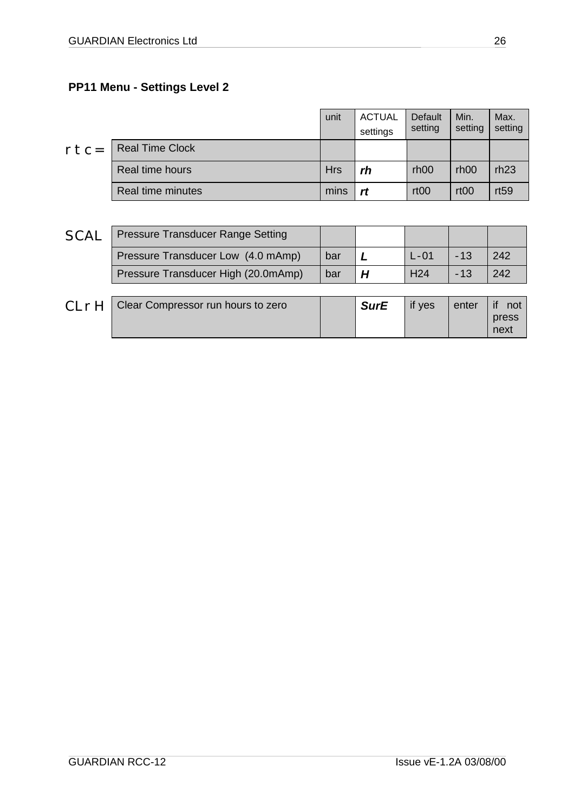#### <span id="page-25-0"></span>**PP11 Menu - Settings Level 2**

|        |                        | unit       | <b>ACTUAL</b><br>settings | Default<br>setting | Min.<br>setting  | Max.<br>setting |
|--------|------------------------|------------|---------------------------|--------------------|------------------|-----------------|
| $rtc=$ | <b>Real Time Clock</b> |            |                           |                    |                  |                 |
|        | Real time hours        | <b>Hrs</b> | rh                        | rh <sub>00</sub>   | rh <sub>00</sub> | rh23            |
|        | Real time minutes      | mins       | rt                        | rt <sub>00</sub>   | rt <sub>00</sub> | rt59            |

| <b>SCAL</b> | <b>Pressure Transducer Range Setting</b> |     |                 |       |     |
|-------------|------------------------------------------|-----|-----------------|-------|-----|
|             | Pressure Transducer Low (4.0 mAmp)       | bar | $L - 01$        | $-13$ | 242 |
|             | Pressure Transducer High (20.0mAmp)      | bar | H <sub>24</sub> | $-13$ | 242 |
|             |                                          |     |                 |       |     |

| CIrH | Clear Compressor run hours to zero | <b>SurE</b> | if yes | enter | not   |
|------|------------------------------------|-------------|--------|-------|-------|
|      |                                    |             |        |       | press |
|      |                                    |             |        |       | next  |